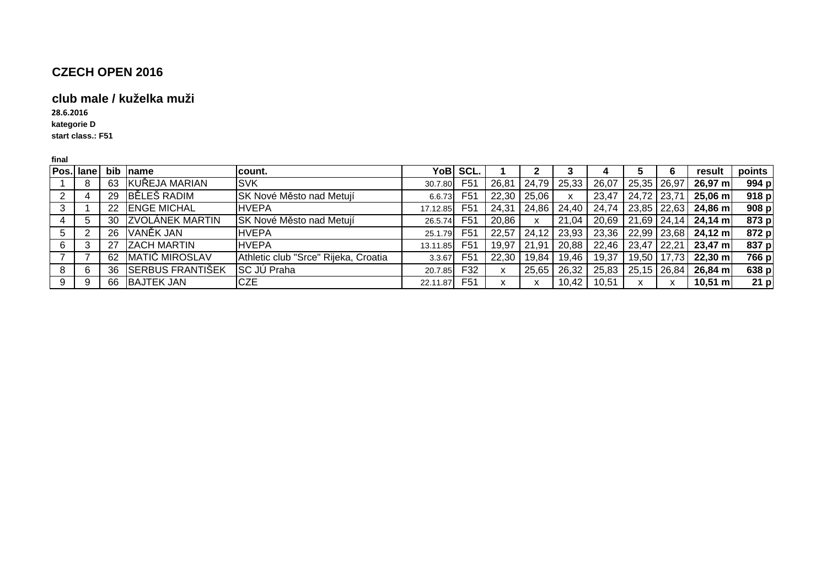#### **club male / kuželka muži**

**kategorie D28.6.2016**

**start class.: F51**

| Pos. lane |     | bib name                | lcount.                              |          | YoB SCL.         |       |       |       |       |                       |               | result              | points |
|-----------|-----|-------------------------|--------------------------------------|----------|------------------|-------|-------|-------|-------|-----------------------|---------------|---------------------|--------|
|           | 63  | KUŘEJA MARIAN           | <b>ISVK</b>                          | 30.7.80  | F <sub>5</sub> 1 | 26,81 | 24,79 | 25,33 | 26,07 |                       | 25,35 26,97   | $26,97 \text{ m}$   | 994 p  |
|           | 29  | BĚLEŠ RADIM             | SK Nové Město nad Metují             | 6.6.73   | F <sub>5</sub> 1 | 22,30 | 25,06 | x     | 23,47 | $24,72$ 23,71         |               | $25,06 \text{ m}$   | 918 p  |
|           | 22  | <b>ENGE MICHAL</b>      | <b>HVEPA</b>                         | 17.12.85 | F <sub>5</sub> 1 | 24,31 | 24,86 | 24,40 | 24,74 | $23,85$ $22,63$       |               | $24,86 \text{ m}$   | 908 p  |
|           | 30  | <b>ZVOLÁNEK MARTIN</b>  | SK Nové Město nad Metují             | 26.5.74  | F <sub>5</sub> 1 | 20,86 | X     | 21,04 |       | 20,69   21,69   24,14 |               | $24,14 \text{ m}$   | 873 p  |
| 5         | 26  | VANĚK JAN               | <b>HVEPA</b>                         | 25.1.79  | F <sub>5</sub> 1 | 22,57 | 24,12 | 23,93 |       | 23,36   22,99   23,68 |               | 24,12 m             | 872 p  |
|           | -27 | <b>ZACH MARTIN</b>      | <b>HVEPA</b>                         | 13.11.85 | F <sub>5</sub> 1 | 19,97 | 21,91 | 20,88 | 22,46 | $23,47$ 22,21         |               | $23,47 \text{ m}$   | 837 p  |
|           | 62  | MATIĆ MIROSLAV          | Athletic club "Srce" Rijeka, Croatia | 3.3.67   | F <sub>5</sub> 1 | 22,30 | 19,84 | 19,46 | 19,37 |                       | 19,50   17,73 | $22,30 \; \text{m}$ | 766 p  |
| 8         | 36  | <b>SERBUS FRANTIŠEK</b> | <b>SC JÚ Praha</b>                   | 20.7.85  | F32              |       | 25,65 | 26,32 |       | 25,83 25,15 26,84     |               | $26,84 \text{ m}$   | 638 p  |
| 9         | 66  | <b>BAJTEK JAN</b>       | <b>CZE</b>                           | 22.11.87 | F <sub>51</sub>  |       | x     | 10,42 | 10,51 |                       | x             | $10,51 \text{ m}$   | 21 p   |
|           |     |                         |                                      |          |                  |       |       |       |       |                       |               |                     |        |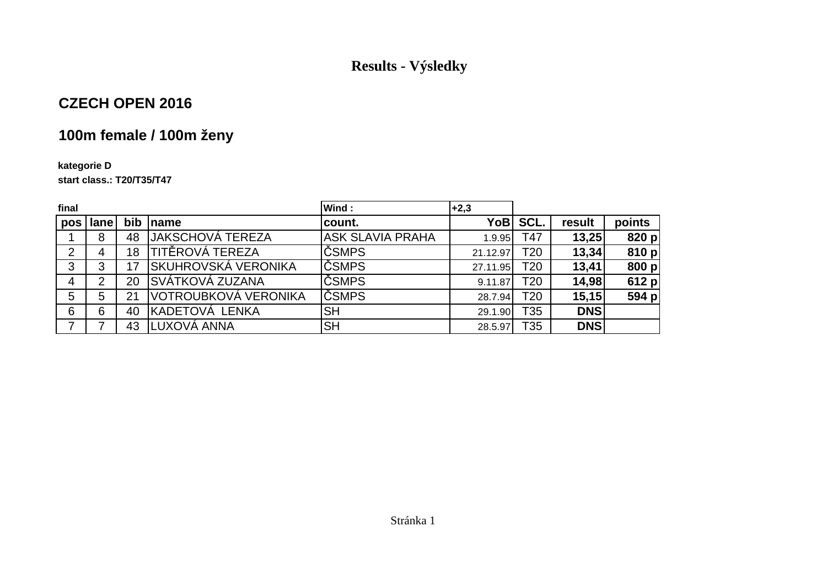## **Results - Výsledky**

## **CZECH OPEN 2016**

# **100m female / 100m ženy**

#### **kategorie D**

**start class.: T20/T35/T47**

| final          |          |     |                             | Wind:                   | $+2,3$   |                 |            |        |
|----------------|----------|-----|-----------------------------|-------------------------|----------|-----------------|------------|--------|
|                | pos lane | bib | Iname                       | count.                  |          | YoB SCL.        | result     | points |
|                | 8        | 48  | JAKSCHOVÁ TEREZA            | <b>ASK SLAVIA PRAHA</b> | 1.9.95   | T47             | 13,25      | 820 p  |
| $\overline{2}$ | 4        | 18  | <b>TITĚROVÁ TEREZA</b>      | ČSMPS                   | 21.12.97 | T20             | 13,34      | 810 p  |
| 3              | 3        |     | SKUHROVSKÁ VERONIKA         | ČSMPS                   | 27.11.95 | T <sub>20</sub> | 13,41      | 800 p  |
| 4              | 2        | 20  | SVÁTKOVÁ ZUZANA             | ČSMPS                   | 9.11.87  | T20             | 14,98      | 612 p  |
| 5              | 5        | 21  | <u>VOTROUBKOVÁ VERONIKA</u> | ČSMPS                   | 28.7.94  | T <sub>20</sub> | 15,15      | 594 p  |
| 6              | 6        | 40  | KADETOVÁ LENKA              | <b>SH</b>               | 29.1.90  | T35             | <b>DNS</b> |        |
|                |          | 43  | LUXOVÁ ANNA                 | <b>SH</b>               | 28.5.97  | T35             | <b>DNS</b> |        |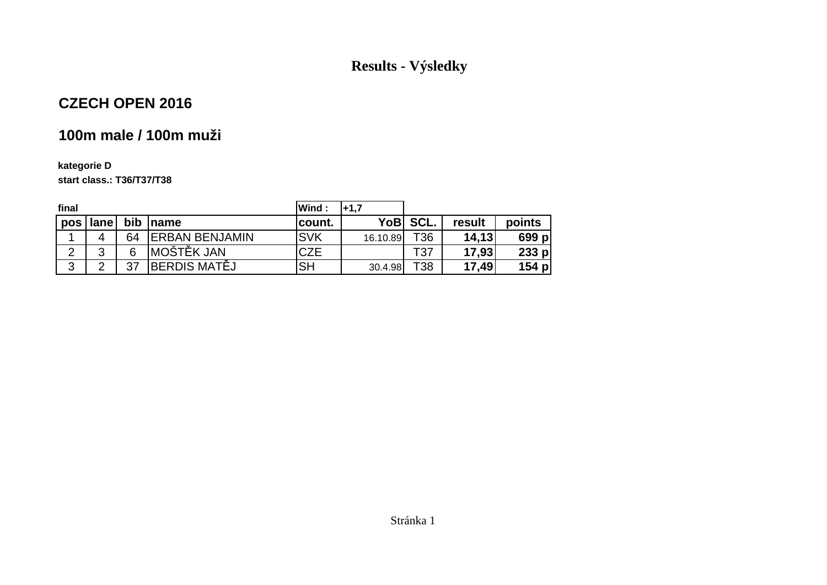## **Results - Výsledky**

## **CZECH OPEN 2016**

# **100m male / 100m muži**

#### **kategorie Dstart class.: T36/T37/T38**

| final           |      |    |                        | Wind:      | l+1.7    |          |        |         |
|-----------------|------|----|------------------------|------------|----------|----------|--------|---------|
| pos             | lane |    | bib name               | count.     |          | YoB SCL. | result | points  |
| ◢               | 4    | 64 | <b>IERBAN BENJAMIN</b> | <b>SVK</b> | 16.10.89 | T36      | 14,13  | 699 pl  |
| ົ<br>$\epsilon$ | ົ    | 6  | <b>MOŠTĚK JAN</b>      | <b>CZE</b> |          | T37      | 17,93  | $233$ p |
| 3               | ◠    | 37 | BERDIS MATĚJ           | <b>SH</b>  | 30.4.98  | T38      | 17,49  | $154$ p |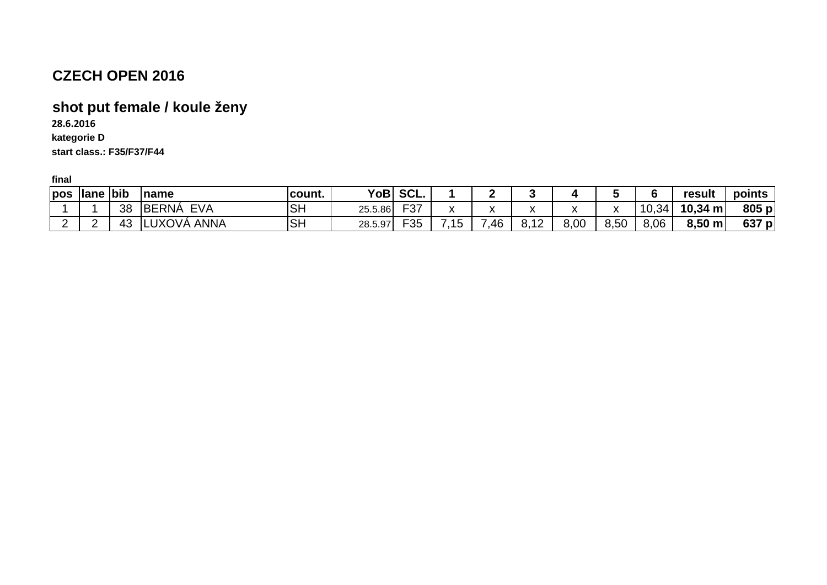# **shot put female / koule ženy**

**28.6.2016**

**kategorie Dstart class.: F35/F37/F44**

| pos lane bib |    | <b>name</b>                | count.    |         | YoB SCL.   |                         |     |                      |      |              |       | result            | points |
|--------------|----|----------------------------|-----------|---------|------------|-------------------------|-----|----------------------|------|--------------|-------|-------------------|--------|
|              | 38 | <b>BERNÁ</b><br><b>EVA</b> | <b>SH</b> | 25.5.86 | ロクマ<br>−ა. | $\lambda$               |     | $\ddot{\phantom{0}}$ |      | $\mathbf{v}$ | 10,34 | $10,34 \text{ m}$ | 805 p  |
| -            | 43 | LUXOVÁ ANNA                | <b>SH</b> | 28.5.97 | 口った<br>ບບ  | 7.4 <sub>F</sub><br>ט ' | .46 | $\Lambda$<br>0. IZ   | 8,00 | 8,50         | 8,06  | $8,50 \; m$       | 637 p  |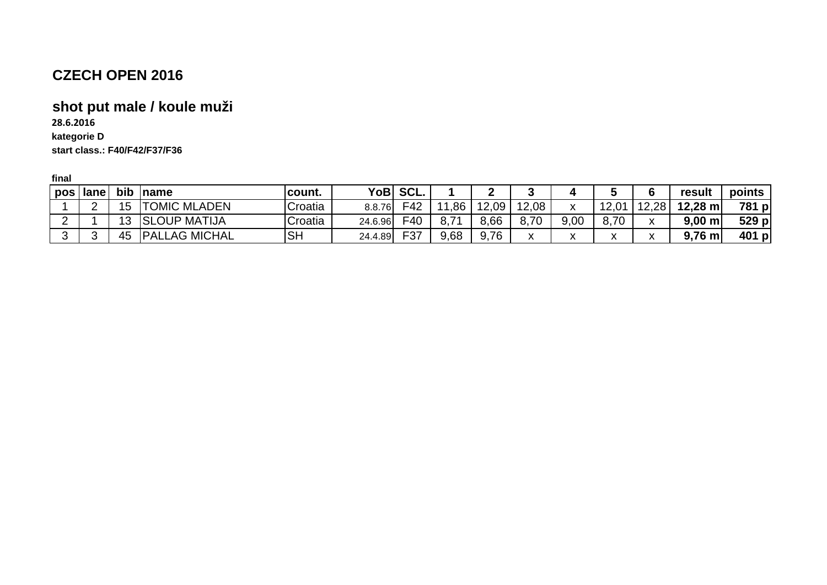## **shot put male / koule muži**

**28.6.2016**

**kategorie D**

**start class.: F40/F42/F37/F36**

| pos | <b>lane</b> | bib | Iname                | <b>Icount.</b> | YoBl    | 'SCL. |      |       |                    | 4                         |              |                   | result              | points |
|-----|-------------|-----|----------------------|----------------|---------|-------|------|-------|--------------------|---------------------------|--------------|-------------------|---------------------|--------|
|     |             | 15  | <b>TOMIC MLADEN</b>  | Croatia        | 8.8.76  | F42   | ,86  | 12.09 | 12,08              | $\mathbf v$<br>ᄉ          | 12,01        | .2.28             | $12,28 \; \text{m}$ | 781 p  |
|     |             | 3   | <b>SLOUP MATIJA</b>  | Croatia        | 24.6.96 | F40   | 71   | 8,66  | 8,70               | 9,00                      | 8,70         | $\mathbf{v}$<br>Λ | $9,00 \; m$         | 529 p  |
|     |             | 45  | <b>PALLAG MICHAL</b> | <b>SH</b>      | 24.4.89 | F37   | 9,68 | .76   | $\mathbf{v}$<br>^` | $\mathbf{v}$<br>$\lambda$ | $\mathbf{v}$ | $\mathbf{v}$<br>Λ | $9,76 \; m$         | 401 p  |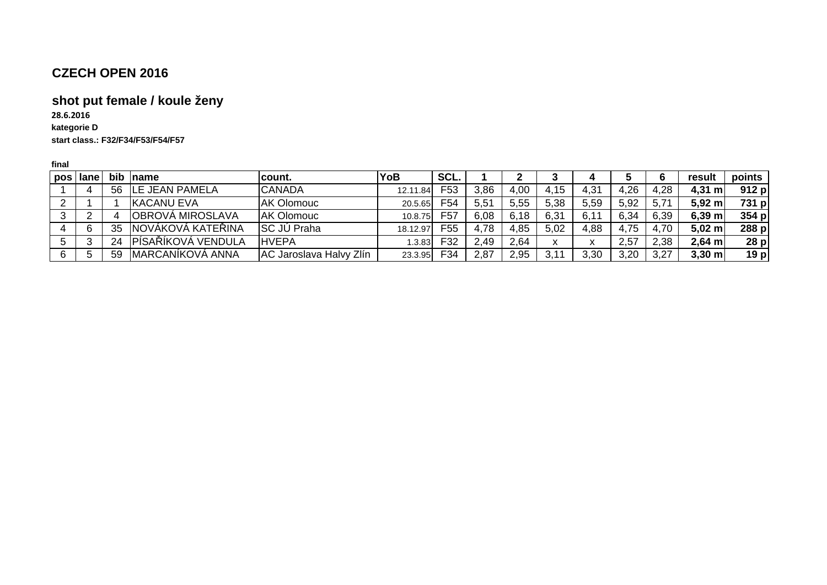# **shot put female / koule ženy**

**kategorie D start class.: F32/F34/F53/F54/F5728.6.2016**

| pos      | l lane | bib | <b>Iname</b>             | lcount.                 | YoB      | SCL.            |      |      |                           |                   |      |      | result      | points          |
|----------|--------|-----|--------------------------|-------------------------|----------|-----------------|------|------|---------------------------|-------------------|------|------|-------------|-----------------|
|          |        | 56  | <b>LE JEAN PAMELA</b>    | <b>CANADA</b>           | 12.11.84 | F53             | 3,86 | 4,00 | 4,15                      | 4,31              | 4,26 | 4,28 | $4,31 \; m$ | 912 p           |
| <u>.</u> |        |     | <b>IKACANU EVA</b>       | <b>AK Olomouc</b>       | 20.5.65  | F54             | 5,51 | 5,55 | 5,38                      | 5,59              | 5,92 | 5,71 | $5,92 \; m$ | 731 p           |
|          |        |     | <b> OBROVÁ MIROSLAVA</b> | <b>AK Olomouc</b>       | 10.8.75  | F <sub>57</sub> | 6,08 | 6,18 | 6,31                      | 6,1               | 6,34 | 6,39 | $6,39$ m    | 354 p           |
|          | 6      | 35  | INOVÁKOVÁ KATEŘINA       | <b>SC JÚ Praha</b>      | 18.12.97 | F55             | 4,78 | 4,85 | 5,02                      | 4,88              | 4,75 | 4.70 | $5,02 \; m$ | 288 p           |
|          |        | 24  | PÍSAŘÍKOVÁ VENDULA       | <b>HVEPA</b>            | 1.3.83   | F32             | 2,49 | 2,64 | $\checkmark$<br>$\lambda$ | $\mathbf{v}$<br>v | 2,57 | 2,38 | $2,64$ m    | 28p             |
|          |        | 59  | MARCANÍKOVÁ ANNA         | AC Jaroslava Halvy Zlín | 23.3.95  | F34             | 2,87 | 2,95 | 3,11                      | 3,30              | 3,20 | 3,27 | $3,30$ m    | 19 <sub>p</sub> |
|          |        |     |                          |                         |          |                 |      |      |                           |                   |      |      |             |                 |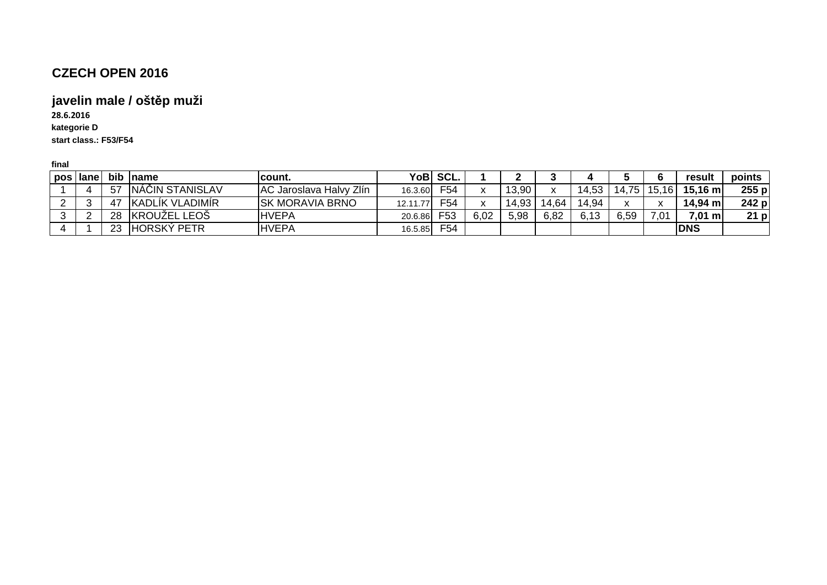#### **javelin male / oštěp muži**

**kategorie D start class.: F53/F5428.6.2016**

| pos lane | bib   | <b>Iname</b>            | count.                         | YoB      | SCL.            |      |       |         |       |              |       | result            | points  |
|----------|-------|-------------------------|--------------------------------|----------|-----------------|------|-------|---------|-------|--------------|-------|-------------------|---------|
|          | $-57$ | INAČIN STANISLAV        | <b>AC Jaroslava Halvy Zlín</b> | 16.3.60  | F <sub>54</sub> |      | 13,90 | $\cdot$ | 14,53 | $75^{\circ}$ | 15,16 | $15,16 \text{ m}$ | $255$ p |
|          | -47   | <b>IKADLIK VLADIMIR</b> | <b>SK MORAVIA BRNO</b>         | 12.11.77 | F <sub>54</sub> |      | 14,93 | 14.64   | 14.94 | $\mathbf{v}$ |       | 14,94 m           | 242 p   |
|          | 28    | <b>KROUZEL LEOS</b>     | <b>HVEPA</b>                   | 20.6.86  | F53             | 6,02 | 5,98  | 6,82    | 6,13  | 6,59         | .U    | $7,01 \text{ m}$  | $21$ p  |
|          | ററ    | <b>HORSKÝ PETR</b>      | <b>HVEPA</b>                   | 16.5.85  | F <sub>54</sub> |      |       |         |       |              |       | <b>DNS</b>        |         |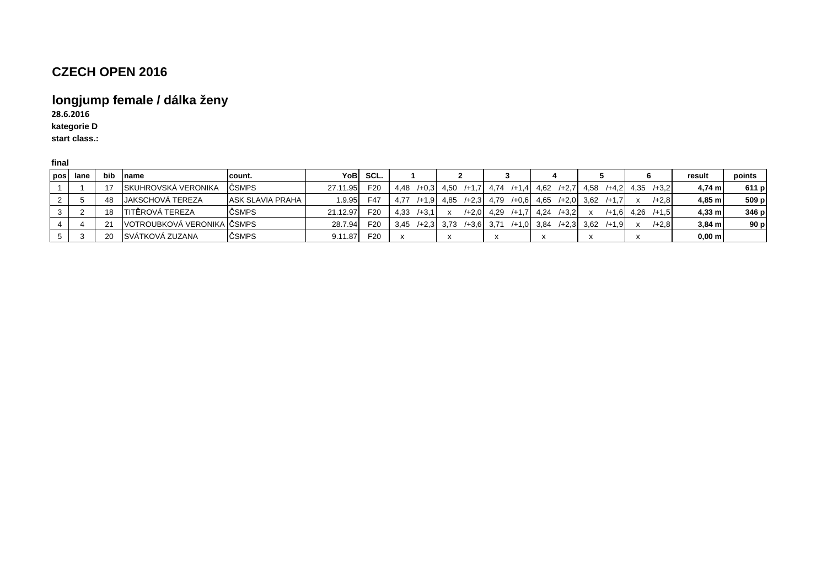# **longjump female / dálka ženy**

**28.6.2016**

**kategorie D**

**start class.:** 

| pos | lane | <b>bib</b> | Iname                        | lcount.          |          | YoBI SCL.       |                    |  |                                                                                                     |                                                                   | result           | points          |
|-----|------|------------|------------------------------|------------------|----------|-----------------|--------------------|--|-----------------------------------------------------------------------------------------------------|-------------------------------------------------------------------|------------------|-----------------|
|     |      |            | ISKUHROVSKÁ VERONIKA         | ČSMPS            | 27.11.95 | F20             |                    |  |                                                                                                     | 4,48 /+0,3 4,50 /+1,7 4,74 /+1,4 4,62 /+2,7 4,58 /+4,2 4,35 /+3,2 | $4.74$ m         | 611 p           |
|     |      | 48         | <b>I</b> JAKSCHOVÁ TEREZA    | ASK SLAVIA PRAHA |          | $1.9.95$ F47    |                    |  | $\begin{bmatrix} 4.77 & +1.9 & 4.85 & +2.3 & 4.79 & +0.6 & 4.65 & +2.0 & 3.62 & +1.7 \end{bmatrix}$ | $/+2.8$                                                           | $4.85$ m         | 509 p           |
|     |      | 18         | <b>ITITÉROVA TEREZA</b>      | <b>ČSMPS</b>     | 21.12.97 | F <sub>20</sub> | 4.33<br>$/ +3.1 x$ |  | $/+2.0$ 4.29 $/+1.7$ 4.24 $/+3.2$                                                                   | $/+1.6$ 4.26 $/+1.5$                                              | $4.33$ m         | 346 p           |
|     |      |            | IVOTROUBKOVÁ VERONIKA IČSMPS |                  | 28.7.94  | F <sub>20</sub> | 3.45               |  | /+2,3 3,73 /+3,6 3,71 /+1,0 3,84 /+2,3 3,62 /+1,9                                                   | $/+2.8$                                                           | $3.84$ m         | 90 <sub>p</sub> |
|     |      | 20         | SVÁTKOVÁ ZUZANA              | ČSMPS            | 9.11.87  | F <sub>20</sub> |                    |  |                                                                                                     |                                                                   | $0,00 \text{ m}$ |                 |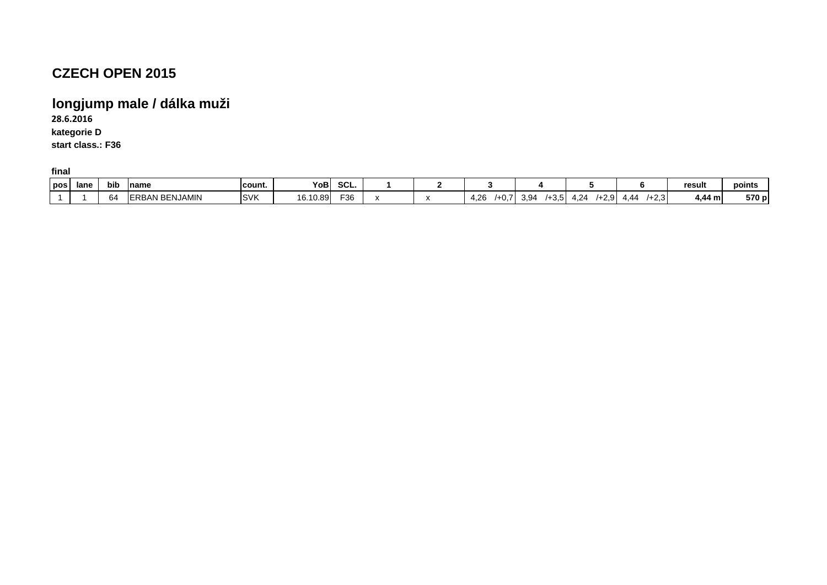## **longjump male / dálka muži**

**kategorie D start class.: F3628.6.2016**

| pos | lane | bib                | name                                  | count.     | YoB,     | SCL. |  |                                |                                           |                           |                                                   | result  | points |
|-----|------|--------------------|---------------------------------------|------------|----------|------|--|--------------------------------|-------------------------------------------|---------------------------|---------------------------------------------------|---------|--------|
|     |      | $\sim$ $\sim$<br>ĥ | NJAMIN<br>$\mathbf{v}$<br>FRRAN<br>-⊢ | <b>SVK</b> | 16.10.89 | F36  |  | $\sim$<br>- -<br>4.Z6<br>гv. і | $\sim$ $\sim$<br>ി വ<br>ຸ້<br>⊤∪.∪<br>ບ.ບ | 1.24<br>$\sim$<br>ി<br>′≁ | $\sim$ $\sim$<br>$\overline{A}$<br>۱ (3.∠+′<br>44 | 4,44 ml | 570 p  |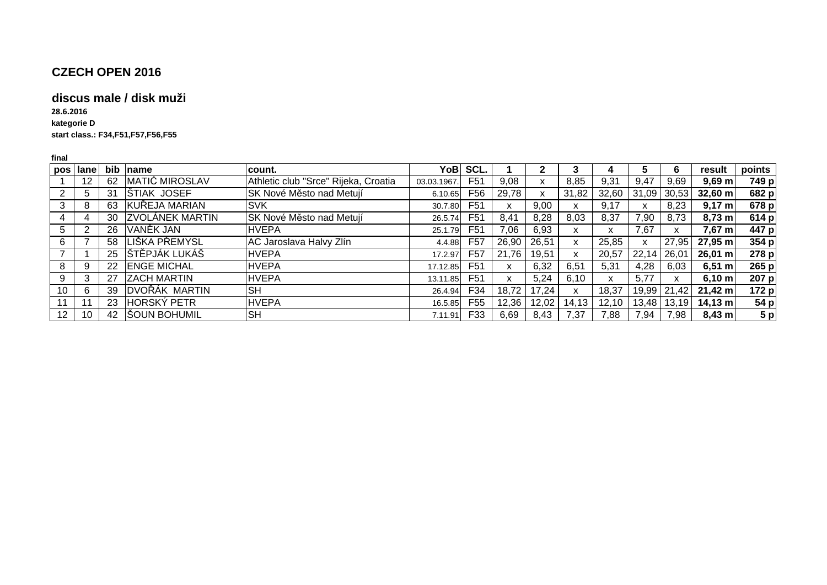#### **discus male / disk muži**

**kategorie D28.6.2016**

**start class.: F34,F51,F57,F56,F55**

|                 | pos lane        |    | bib name               | lcount.                              |            | YoB SCL.        |       |       |       |          |             | O           | result                    | points |
|-----------------|-----------------|----|------------------------|--------------------------------------|------------|-----------------|-------|-------|-------|----------|-------------|-------------|---------------------------|--------|
|                 | 12 <sup>2</sup> | 62 | <b>MATIĆ MIROSLAV</b>  | Athletic club "Srce" Rijeka, Croatia | 03.03.1967 | F <sub>51</sub> | 9,08  | x     | 8,85  | 9,31     | 9,47        | 9,69        | $9,69$ m                  | 749 p  |
|                 |                 | 31 | <b>STIAK JOSEF</b>     | SK Nové Město nad Metují             | 6.10.65    | F <sub>56</sub> | 29,78 |       | 31,82 | 32,60    |             | 31,09 30,53 | $32,60 \text{ m}$         | 682 p  |
|                 |                 | 63 | KUŘEJA MARIAN          | <b>SVK</b>                           | 30.7.80    | F <sub>51</sub> | X     | 9,00  | X     | 9,17     | x           | 8,23        | $9,17 \; m$               | 678 p  |
| 4               |                 | 30 | <b>ZVOLÁNEK MARTIN</b> | SK Nové Město nad Metují             | 26.5.74    | F <sub>51</sub> | 8,41  | 8,28  | 8,03  | 8,37     | 7,90        | 8,73        | $8,73 \text{ m}$          | 614 p  |
| 5               |                 | 26 | VANĚK JAN              | <b>HVEPA</b>                         | 25.1.79    | F <sub>51</sub> | 7,06  | 6,93  | X     | x        | 7,67        | x           | $7,67 \; m$               | 447 p  |
| 6               |                 | 58 | LIŠKA PŘEMYSL          | AC Jaroslava Halvy Zlín              | 4.4.88     | F <sub>57</sub> | 26,90 | 26,51 | X     | 25,85    | x           | 27,95       | 27,95 m                   | 354 p  |
|                 |                 | 25 | STĚPJÁK LUKÁŠ          | <b>HVEPA</b>                         | 17.2.97    | F57             | 21.76 | 19.51 | X     | 20,57    | 22,14 26,01 |             | $26,01 \text{ m}$         | 278 p  |
| 8               |                 | 22 | <b>ENGE MICHAL</b>     | <b>HVEPA</b>                         | 17.12.85   | F51             | x     | 6,32  | 6,51  | 5,31     | 4,28        | 6,03        | $6,51 \; m$               | 265 p  |
| 9               |                 | 27 | <b>ZACH MARTIN</b>     | <b>HVEPA</b>                         | 13.11.85   | F <sub>51</sub> | X     | 5,24  | 6,10  | <b>X</b> | 5.77        | x           | $6,10 \text{ m}$          | 207 p  |
| 10              |                 | 39 | <b>DVOŘÁK MARTIN</b>   | <b>SH</b>                            | 26.4.94    | F34             | 18,72 | 17,24 | X     | 18,37    |             |             | 19,99 21,42 21,42 m       | 172 p  |
| 11              |                 | 23 | <b>HORSKÝ PETR</b>     | <b>HVEPA</b>                         | 16.5.85    | F <sub>55</sub> | 12,36 | 12,02 | 14.13 | 12.10    |             |             | $13,48$   13,19   14,13 m | 54 p   |
| 12 <sup>2</sup> | 10              |    | 42 SOUN BOHUMIL        | <b>SH</b>                            | 7.11.91    | F33             | 6,69  | 8,43  | 7,37  | 7,88     | 7,94        | 7,98        | $8,43 \, m$               | 5 p    |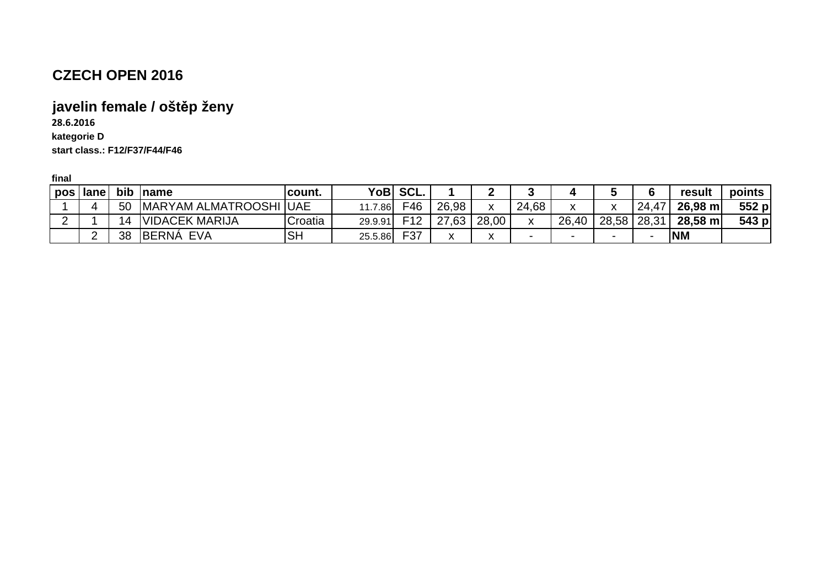# **javelin female / oštěp ženy**

**28.6.2016**

**kategorie D**

**start class.: F12/F37/F44/F46**

| pos | lane | bib | <b>Iname</b>                    | 'count.   | YoBl    | SCL.            |       |              |              |              |                          |       | result    | points |
|-----|------|-----|---------------------------------|-----------|---------|-----------------|-------|--------------|--------------|--------------|--------------------------|-------|-----------|--------|
|     |      | 50  | <b>IMARYAM ALMATROOSHI IUAE</b> |           | .7.86   | F46             | 26,98 | $\mathbf{v}$ | 24,68        | $\mathbf{v}$ | $\cdot$                  | 24,47 | 26,98 m   | 552 p  |
|     |      | 14  | VIDACEK MARIJA                  | Croatia   | 29.9.91 | F <sub>12</sub> | 27,63 | 28,00        | $\mathbf{v}$ | 26,40        | 28,58 28,31              |       | 28,58 m   | 543 p  |
|     |      | 38  | <b>BERNA</b><br>EVA             | <b>SH</b> | 25.5.86 | F37             |       |              |              | -            | $\overline{\phantom{0}}$ |       | <b>NM</b> |        |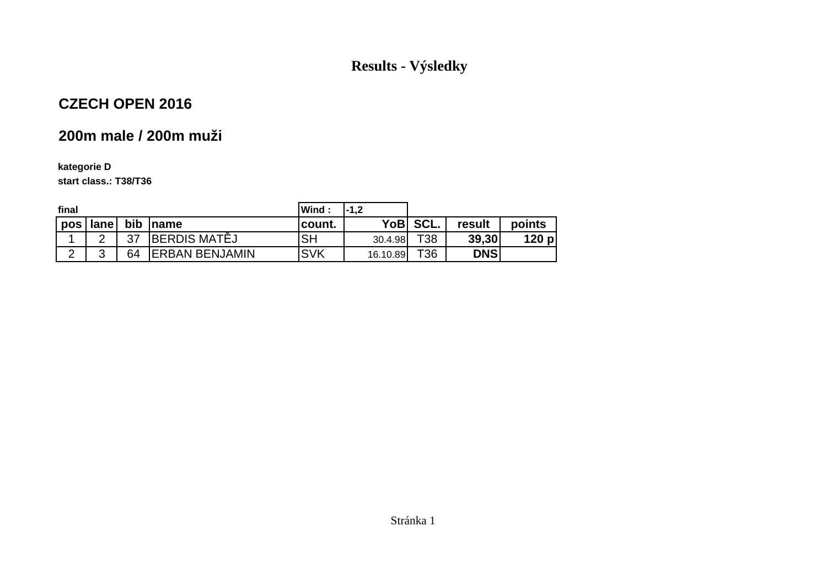## **Results - Výsledky**

## **CZECH OPEN 2016**

# **200m male / 200m muži**

#### **kategorie D**

**start class.: T38/T36**

| final  |             |     |                        | Wind:      | I-1.2    |          |            |        |
|--------|-------------|-----|------------------------|------------|----------|----------|------------|--------|
| pos    | lane        | bib | Iname                  | count.     |          | YoB SCL. | result     | points |
| ◢      | $\sim$      | 37  | <b>IBERDIS MATÉJ</b>   | <b>ISH</b> | 30.4.98  | T38      | 39,30      | 120 p  |
| $\sim$ | $\sim$<br>ັ | 64  | <b>IERBAN BENJAMIN</b> | <b>SVK</b> | 16.10.89 | T36      | <b>DNS</b> |        |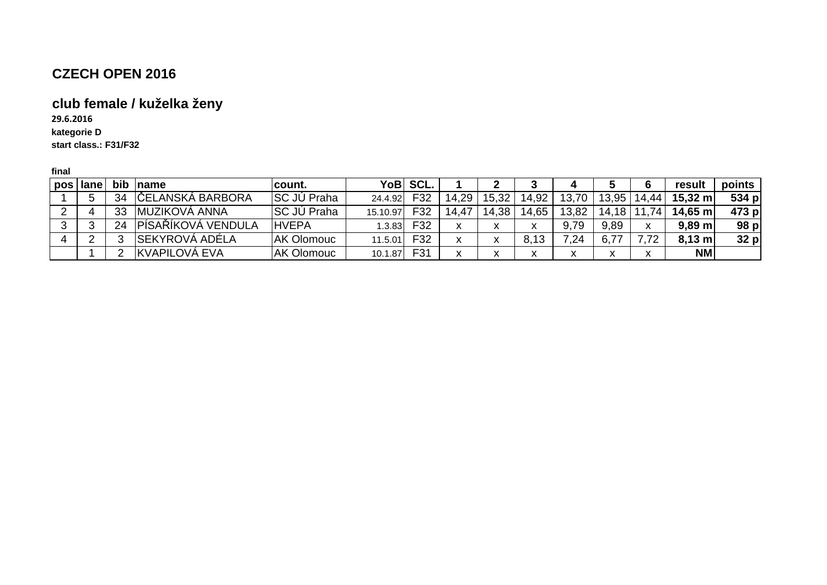# **club female / kuželka ženy**

**kategorie D start class.: F31/F3229.6.2016**

| pos lane |    | bib <i>name</i>         | lcount.            |          | YoB SCL.        |       |       |       |           |           |     | result            | points |
|----------|----|-------------------------|--------------------|----------|-----------------|-------|-------|-------|-----------|-----------|-----|-------------------|--------|
|          | 34 | <b>ČELANSKÁ BARBORA</b> | <b>SC JÚ Praha</b> | 24.4.92  | F32             | 14,29 | 15,32 | 14,92 | 70<br>13. | 13,95     | 44. | $15,32 \text{ m}$ | 534 p  |
|          | 33 | IMUZIKOVÁ ANNA          | <b>SC JÚ Praha</b> | 15.10.97 | F32             | 14,47 | 14,38 | 14,65 | 13,82     | 18<br>14. | 74  | 14,65 m           | 473 p  |
|          | 24 | IPÍSAŘÍKOVÁ VENDULA     | <b>IHVEPA</b>      | 1.3.83   | F32             |       |       |       | 9,79      | 9,89      |     | $9,89$ m          | 98 p   |
|          |    | ISEKYROVÁ ADÉLA         | <b>AK Olomouc</b>  | 11.5.01  | F <sub>32</sub> |       |       |       | 7,24      |           |     | $8,13$ m          | $32$ p |
|          |    | <b>IKVAPILOVÁ EVA</b>   | <b>AK Olomouc</b>  | 10.1.87  | F31             |       |       |       |           |           |     | <b>NM</b>         |        |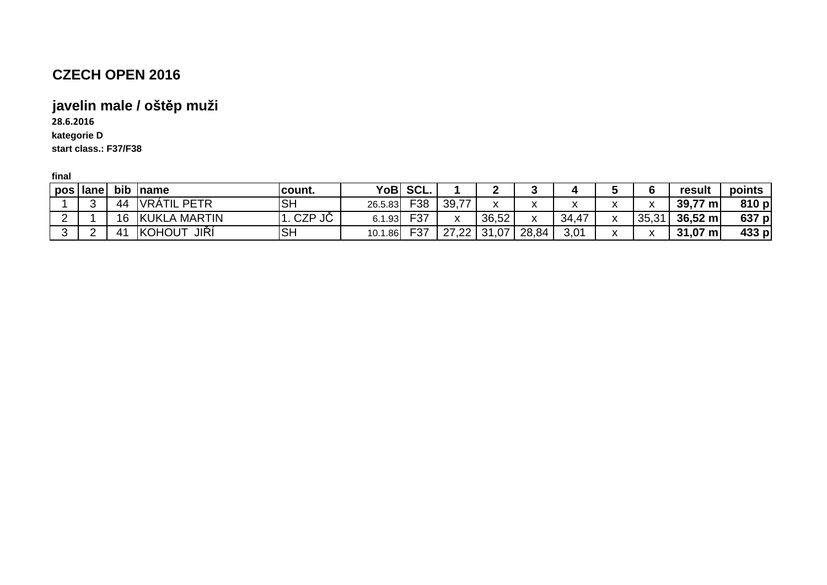### **javelin male / oštěp muži**

**28.6.2016**

**kategorie D**

**start class.: F37/F38**

| -------- |            |              |                       |                  |         |        |                        |             |                   |                                       |                              |              |                     |        |
|----------|------------|--------------|-----------------------|------------------|---------|--------|------------------------|-------------|-------------------|---------------------------------------|------------------------------|--------------|---------------------|--------|
|          | pos   lane |              | bib name              | <b>Icount.</b>   | YoBl    | ' SCL. |                        | ◠           |                   |                                       |                              |              | result              | points |
|          | ⌒<br>w     | 44           | VRÁTIL PETR           | <b>SH</b>        | 26.5.83 | F38    | 39,77                  | $\mathbf v$ | $\mathbf{v}$<br>^ | $\overline{\phantom{a}}$<br>$\lambda$ | $\mathbf{v}$<br>$\mathbf{v}$ | $\mathbf{v}$ | $39,77 \text{ m}$   | 810 p  |
| ∸        |            | 16           | KUKLA MARTIN          | <b>CZP</b><br>JC | 6.1.93  | F37    | $\mathbf{v}$<br>$\sim$ | 36,52       | $\mathbf v$<br>^  | 34,47                                 |                              | 35,31        | $36,52 \; m$        | 637 p  |
|          |            | $4^{\prime}$ | <b>KOHOUT</b><br>JIŘÍ | <b>SH</b>        | 10.1.86 | F37    | 27,22                  | 31,07       | 28,84             | 3,01                                  |                              | $\mathbf{v}$ | $31,07 \; \text{m}$ | 433 p  |
|          |            |              |                       |                  |         |        |                        |             |                   |                                       |                              |              |                     |        |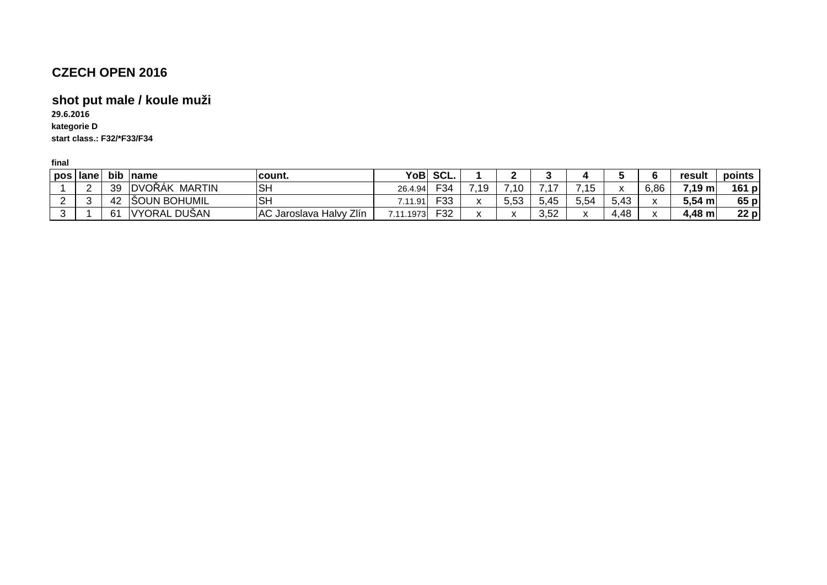#### **shot put male / koule muži**

**kategorie D start class.: F32/\*F33/F3429.6.2016**

| pos l | lane | bib | <b>Iname</b>                    | <u>Icount.</u>                    | YoBl          | SCL.            |                      |      |      |                      |      | result           | points   |
|-------|------|-----|---------------------------------|-----------------------------------|---------------|-----------------|----------------------|------|------|----------------------|------|------------------|----------|
|       |      | 39  | <b>MARTIN</b><br><b>IDVOŘÁK</b> | IS⊦                               | 26.4.94       | $\overline{34}$ |                      |      |      | $\ddot{\phantom{0}}$ | 6,86 | $7,19 \text{ m}$ | 161<br>p |
| _     |      | 42  | SOUN BOHUMIL                    | ISF                               | . 91<br>711   | roo<br>ັບ       | $-5.52$<br>ິ.ບ.ບ     | 5,45 | 5,54 | 5,43                 |      | $5,54 \; m$      | 65p      |
|       |      | 61  | <b>DUŠAN</b><br><b>IVYORAL</b>  | Zlín<br>AC Jaroslava<br>. Halvv i | .1973<br>7.11 | 532             | $\ddot{\phantom{0}}$ | 3,52 |      | ,48                  |      | 4,48 m           | $22$ p   |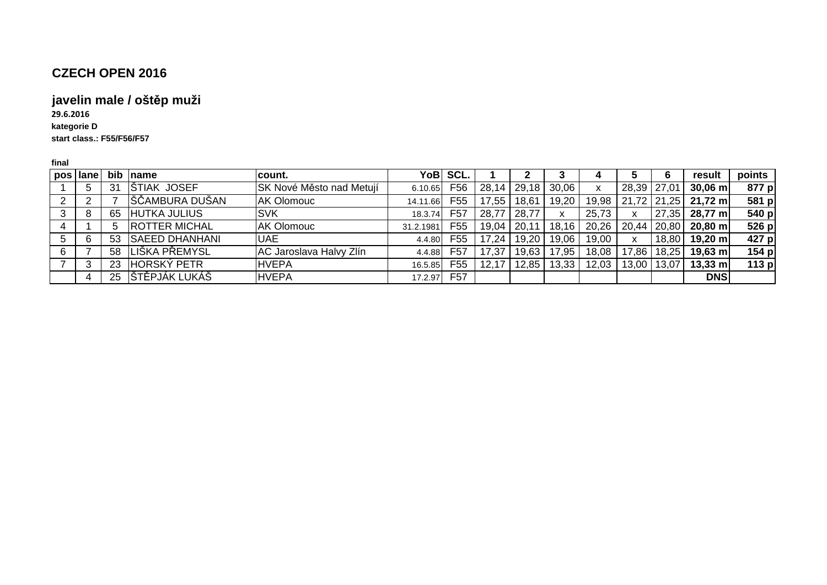#### **javelin male / oštěp muži**

**kategorie D start class.: F55/F56/F5729.6.2016**

| pos   lane | bib | <b>Iname</b>          | lcount.                         |           | YoB  SCL.       |       |       |       |       |             | b     | result              | points  |
|------------|-----|-----------------------|---------------------------------|-----------|-----------------|-------|-------|-------|-------|-------------|-------|---------------------|---------|
| 5          | -31 | STIAK JOSEF           | <b>SK Nové Město nad Metují</b> | 6.10.65   | F <sub>56</sub> | 28,14 | 29,18 | 30,06 |       | 28,39 27,01 |       | $30,06 \, \text{m}$ | 877 p   |
|            |     | ÍŠČAMBURA DUŠAN       | <b>AK Olomouc</b>               | 14.11.66  | F <sub>55</sub> | 17,55 | 18,61 | 19,20 | 19,98 | 21,72 21,25 |       | $21,72 \; m$        | 581 p   |
| 8          | 65  | <b>HUTKA JULIUS</b>   | <b>SVK</b>                      | 18.3.74   | F <sub>57</sub> | 28,77 | 28,77 |       | 25,73 | X           | 27,35 | $28,77$ m           | 540 p   |
|            | 5   | <b>ROTTER MICHAL</b>  | <b>AK Olomouc</b>               | 31.2.1981 | F <sub>55</sub> | 19,04 | 20,   | 18,16 | 20,26 | 20,44 20,80 |       | $20,80 \; \text{m}$ | 526 p   |
| 6          | 53  | <b>SAEED DHANHANI</b> | <b>UAE</b>                      | 4.4.80    | F <sub>55</sub> | '7,24 | 19,20 | 19,06 | 19,00 | X           | 18,80 | $19,20 \; m$        | 427 p   |
|            | 58  | LIŠKA PŘEMYSL         | AC Jaroslava Halvy Zlín         | 4.4.88    | F57             | 7.37  | 19,63 | 17.95 | 18,08 | 17,86       | 18,25 | $19,63 \; m$        | 154 p   |
|            | 23  | HORSKÝ PETR           | <b>HVEPA</b>                    | 16.5.85   | F <sub>55</sub> | 2.17  | 12.85 | 13,33 | 12,03 | 13,00       | 13,07 | $13,33 \; m$        | 113 $p$ |
|            | 25  | STĚPJÁK LUKÁŠ         | <b>HVEPA</b>                    | 17.2.97   | F <sub>57</sub> |       |       |       |       |             |       | <b>DNS</b>          |         |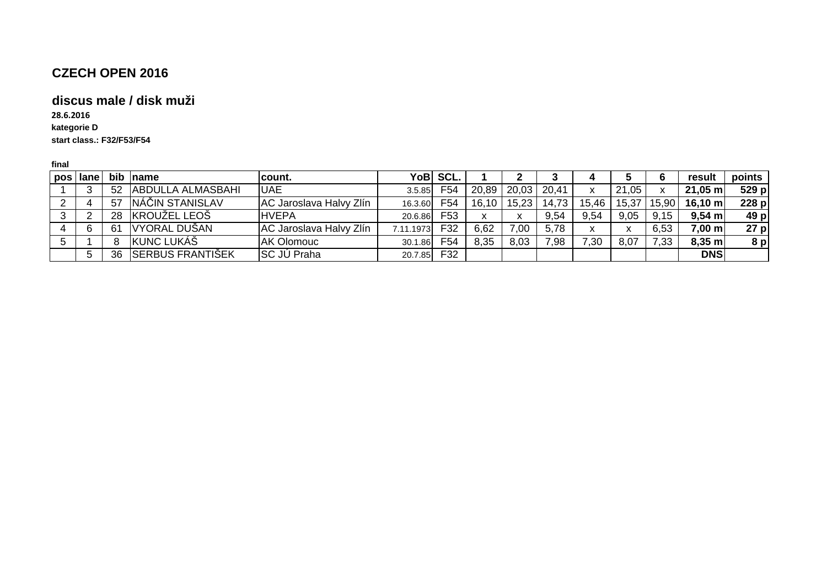#### **discus male / disk muži**

**kategorie D start class.: F32/F53/F5428.6.2016**

| pos | lane | bib | Iname                    | lcount.                        |           | YoB SCL.        |       |                 |       |       |              |       | result              | points |
|-----|------|-----|--------------------------|--------------------------------|-----------|-----------------|-------|-----------------|-------|-------|--------------|-------|---------------------|--------|
|     |      | 52  | <b>ABDULLA ALMASBAHI</b> | <b>UAE</b>                     | 3.5.85    | F54             |       | $20.89$   20.03 | 20,41 | х     | 21,05        |       | $21,05 \; \text{m}$ | 529 p  |
|     |      | -57 | NÁČIN STANISLAV          | <b>AC Jaroslava Halvy Zlín</b> | 16.3.60   | F54             | 16.10 | 15,23           | 14,73 | 15,46 | 15,37        | 15,90 | $16,10 \; \text{m}$ | 228 p  |
|     |      | 28  | <b>KROUŽEL LEOŠ</b>      | <b>IHVEPA</b>                  | 20.6.86   | F <sub>53</sub> |       |                 | 9,54  | 9.54  | 9,05         | 9.15  | $9.54$ m            | 49 p   |
|     |      | 61  | VYORAL DUŠAN             | AC Jaroslava Halvy Zlín        | 7.11.1973 | F32             | 6.62  | 7,00            | 5,78  | x     | $\checkmark$ | 6,53  | 7.00 ml             | 27 p   |
|     |      |     | <b>KUNC LUKÁŠ</b>        | <b>AK Olomouc</b>              | 30.1.86   | F54             | 8,35  | 8.03            | 7,98  | 7,30  | 8,07         | 7,33  | $8,35 \; m$         | 8 p    |
|     |      | 36  | <b>SERBUS FRANTIŠEK</b>  | <b>SC JÚ Praha</b>             | 20.7.85   | F32             |       |                 |       |       |              |       | <b>DNS</b>          |        |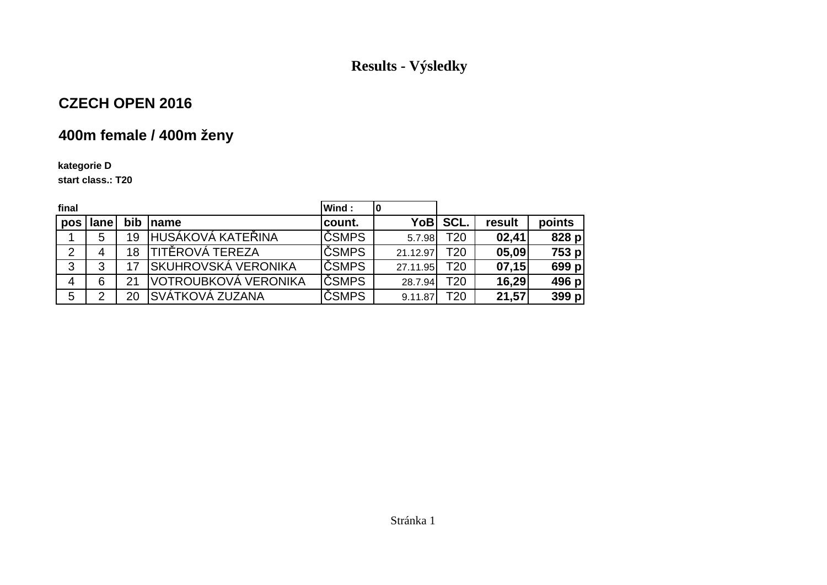## **Results - Výsledky**

## **CZECH OPEN 2016**

# **400m female / 400m ženy**

#### **kategorie D**

**start class.: T20**

| final          |      |    |                             | <b>Wind:</b>  |          |                 |        |        |
|----------------|------|----|-----------------------------|---------------|----------|-----------------|--------|--------|
| pos            | lane |    | bib name                    | count.        |          | YoB SCL.        | result | points |
|                | 5    | 19 | IHUSÁKOVÁ KATEŘINA          | <b>IČSMPS</b> | 5.7.98   | T <sub>20</sub> | 02,41  | 828 p  |
| $\overline{2}$ | 4    | 18 | TITĚROVÁ TEREZA             | <b>IČSMPS</b> | 21.12.97 | T <sub>20</sub> | 05,09  | 753 p  |
| 3              | 3    |    | <b>ISKUHROVSKÁ VERONIKA</b> | <b>ČSMPS</b>  | 27.11.95 | T <sub>20</sub> | 07,15  | 699 p  |
| 4              | 6    | 21 | VOTROUBKOVÁ VERONIKA        | <b>ČSMPS</b>  | 28.7.94  | T <sub>20</sub> | 16,29  | 496 p  |
| 5              | 2    | 20 | SVÁTKOVÁ ZUZANA             | <b>ČSMPS</b>  | 9.11.87  | T <sub>20</sub> | 21,57  | 399 p  |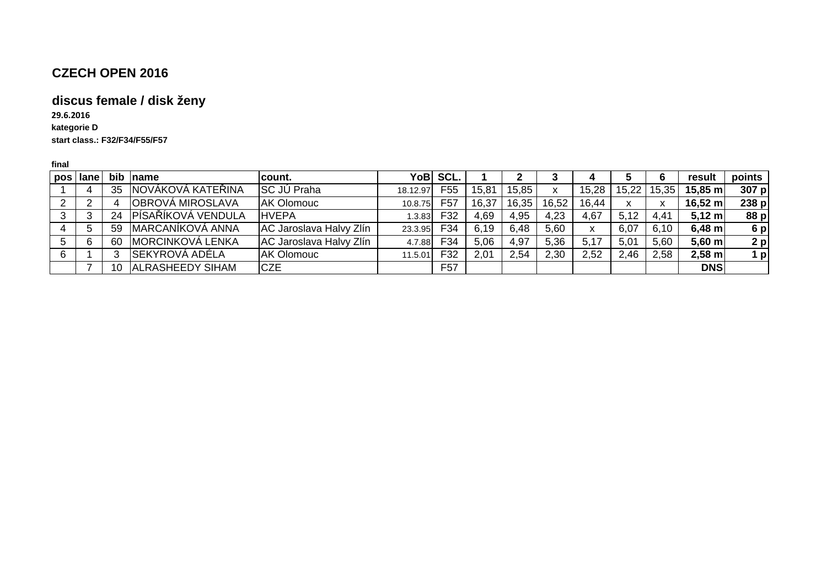# **discus female / disk ženy**

**kategorie D start class.: F32/F34/F55/F5729.6.2016**

| pos Hane | bib | Iname                    | lcount.                 | YoB      | SCL.            |       |       |       |       |                           | 6              | result            | points         |
|----------|-----|--------------------------|-------------------------|----------|-----------------|-------|-------|-------|-------|---------------------------|----------------|-------------------|----------------|
|          | 35  | <b>NOVÁKOVÁ KATEŘINA</b> | <b>SC JÚ Praha</b>      | 18.12.97 | F55             | 15,81 | 15,85 | x     | 15,28 | 15,22                     | 15,35          | $15,85 \text{ m}$ | 307 p          |
|          |     | OBROVÁ MIROSLAVA         | <b>AK Olomouc</b>       | 10.8.75  | F <sub>57</sub> | 16,37 | 16,35 | 16,52 | 16,44 | $\mathbf{v}$<br>$\lambda$ | v<br>$\lambda$ | $16,52 \; m$      | 238p           |
| 3        | 24  | PÍSAŘÍKOVÁ VENDULA       | <b>HVEPA</b>            | .3.83    | F32             | 4,69  | 4,95  | 4,23  | 4,67  | 5,12                      | 4.41           | $5,12 \; m$       | 88 p           |
| 5        | 59  | MARCANÍKOVÁ ANNA         | AC Jaroslava Halvy Zlín | 23.3.95  | F34             | 6,19  | 6.48  | 5,60  | x     | 6,07                      | 6,10           | $6,48$ m          | 6p             |
| 6        | 60  | <b>IMORCINKOVÁ LENKA</b> | AC Jaroslava Halvy Zlín | 4.7.88   | F34             | 5,06  | 4,97  | 5,36  | 5,17  | 5,01                      | 5,60           | $5,60$ m          | $2$ p          |
|          |     | SEKYROVÁ ADÉLA           | <b>AK Olomouc</b>       | 11.5.01  | F32             | 2,01  | 2,54  | 2,30  | 2,52  | 2,46                      | 2,58           | $2,58$ m          | 1 <sub>p</sub> |
|          | 10  | <b>ALRASHEEDY SIHAM</b>  | <b>CZE</b>              |          | F <sub>57</sub> |       |       |       |       |                           |                | <b>DNS</b>        |                |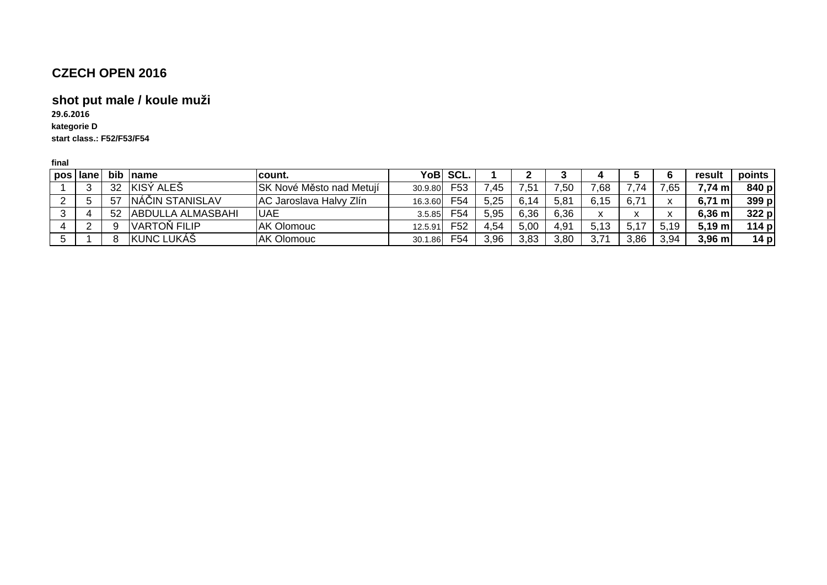#### **shot put male / koule muži**

**kategorie D start class.: F52/F53/F5429.6.2016**

| pos lane | <b>bib</b> | <b>Iname</b>              | lcount.                         | YoB     | SCL.            |      |               |                |      |      |               | result             | points |
|----------|------------|---------------------------|---------------------------------|---------|-----------------|------|---------------|----------------|------|------|---------------|--------------------|--------|
|          | 32         | KISÝ ALEŠ                 | <b>SK Nové Město nad Metují</b> | 30.9.80 | F <sub>53</sub> | 45.' | $.5^{\prime}$ | .50            | 7,68 |      | ,65           | $7,74 \text{ m}$   | 840 p  |
|          | -57        | <b>NÁČIN STANISLAV</b>    | AC Jaroslava Halvy Zlín         | 16.3.60 | F54             | 5.25 |               | 5,81           | 6,15 | 6,7' |               | $6,71 \text{ ml}$  | 399 p  |
|          | 52         | <b>IABDULLA ALMASBAHI</b> | <b>UAE</b>                      | 3.5.85  | F54             | 5.95 | 6,36          | 6.36           |      | ↗    | $\cdot$<br>^` | $6,36$ m           | 322 p  |
|          |            | <b>VARTON FILIP</b>       | <b>AK Olomouc</b>               | 12.5.91 | F <sub>52</sub> | 4,54 | 5,00          | $4.9^{\prime}$ | 5,13 |      | 5.19          | $5.19$ m           | 114 p  |
|          |            | KUNC LUKÁŠ                | <b>AK Olomouc</b>               | 30.1.86 | F54             | 3,96 | 3,83          | 3,80           | 2 71 | 3,86 | 3,94          | $3,96 \, \text{m}$ | 14 p   |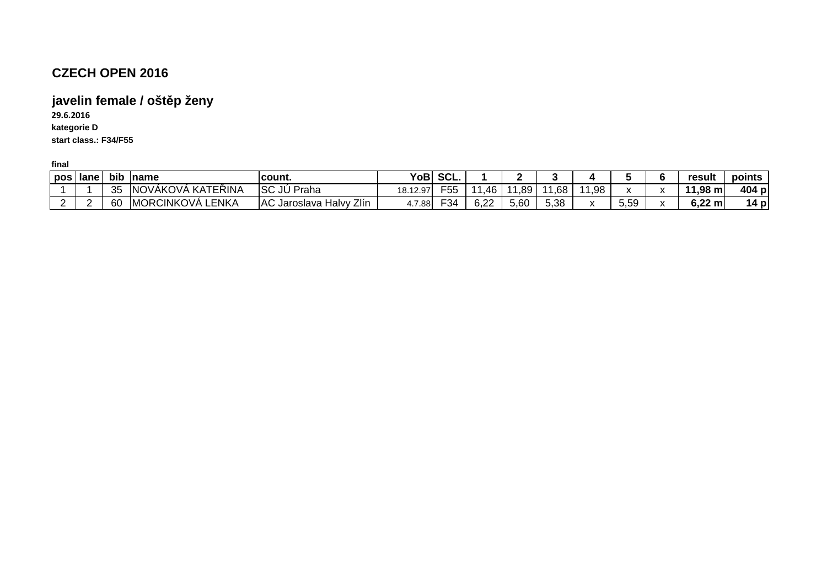# **javelin female / oštěp ženy**

**kategorie D start class.: F34/F5529.6.2016**

| pos   lane | bib     | <b>Iname</b>                   | lcount.                                  | <b>YoB</b> | SCL.            |            |      |      | н            |      | result                 | points      |
|------------|---------|--------------------------------|------------------------------------------|------------|-----------------|------------|------|------|--------------|------|------------------------|-------------|
|            | つに<br>ິ | ، KATEŘINA<br><b>INOVAKOVA</b> | Isc<br>JÙ<br>Praha                       | 18.12.97   | F <sub>55</sub> | 46         | ,89  | .68  | 11,98        |      | $1,98 \text{ m}$<br>44 | 404 p       |
| <u>_</u>   | 60      | MORCINKOVÁ<br>ENKA.            | Zlín<br><b>AC</b><br>Halvv<br>√Jaroslava | 4.7.88     | $\mathsf{F}34$  | െറ<br>U.ZZ | 5,60 | 5,38 | $\cdot$<br>́ | 5,59 | $6,22 \text{ m}$       | ۰p۱<br>14 L |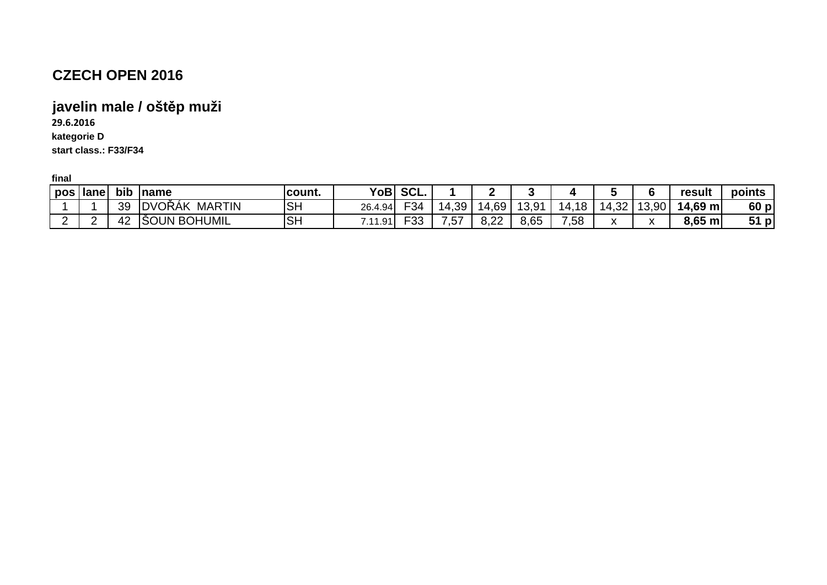## **javelin male / oštěp muži**

**29.6.2016**

**kategorie D**

**start class.: F33/F34**

| pos   lane |   | bib | <b>Iname</b>                    | count.    | <b>YoB</b> | ' SCL.      |               |             |              |            |                           |           | result            | points             |
|------------|---|-----|---------------------------------|-----------|------------|-------------|---------------|-------------|--------------|------------|---------------------------|-----------|-------------------|--------------------|
|            |   | 39  | <b>MARTIN</b><br><b>IDVORAK</b> | <b>SH</b> | 26.4.94    | F34         | ,39<br>14     | .69         | 13 Q1<br>v.v | .18<br>14. | د 1 A<br>— 2⊂…            | 13,90     | $14,69 \text{ m}$ | 60p                |
| -          | - |     | <b>BOHUMIL</b><br>ISOUN         | <b>SH</b> | .11.91     | ่⊢าก<br>ັບບ | $\sim$<br>. ب | ം ഹ<br>0.ZZ | 8,65         | ,58        | $\mathbf{v}$<br>$\lambda$ | $\lambda$ | 8,65 m            | 51<br>$\mathbf{p}$ |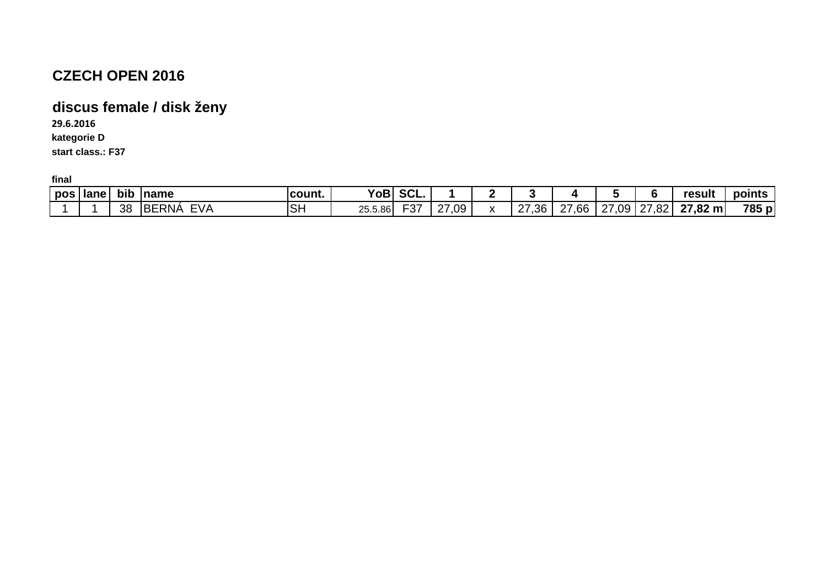# **discus female / disk ženy**

**29.6.2016**

**kategorie D**

**start class.: F37**

| 785<br><b>F07</b><br><b>SH</b><br><b>FVA</b><br><b>BERNA</b><br>$27,82 \; \text{m}$<br>09<br>$\sim$<br>$\sim$<br>$\sim$<br>07<br>$\sim$<br>.36<br>ററ<br>38<br>09<br>.66<br>25.5.86<br>$\cdot$<br>∠ه.<br>ו כ−<br>$\epsilon$<br>-<br>- | pos | <b>Ilane</b> | bib | Iname | count. | YoB | $\sim$<br>JUL. |  |  |  | result | points       |
|--------------------------------------------------------------------------------------------------------------------------------------------------------------------------------------------------------------------------------------|-----|--------------|-----|-------|--------|-----|----------------|--|--|--|--------|--------------|
|                                                                                                                                                                                                                                      |     |              |     |       |        |     |                |  |  |  |        | $\mathsf{p}$ |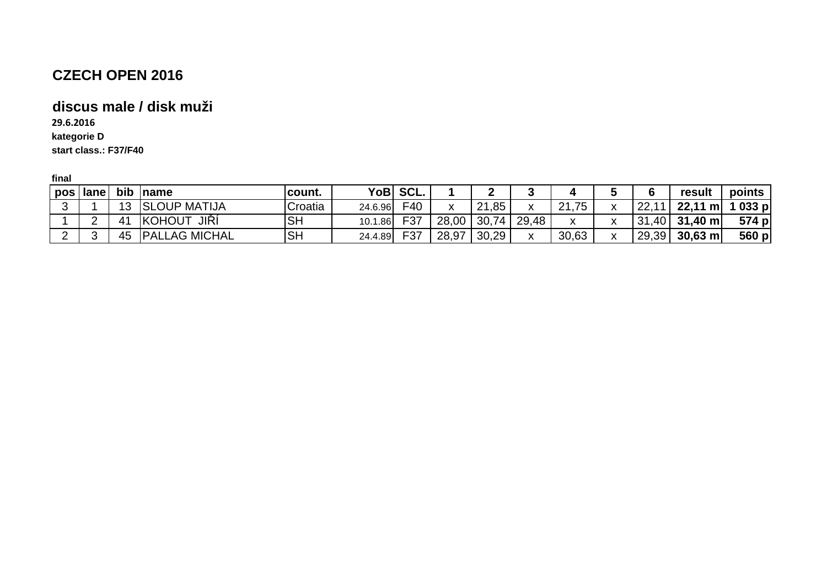# **discus male / disk muži**

**29.6.2016**

**kategorie D**

**start class.: F37/F40**

| pos | lane |    | bib <i>name</i>       | <b>Icount.</b> |         | YoB SCL. |       |       |                 |       |    | result            | points |
|-----|------|----|-----------------------|----------------|---------|----------|-------|-------|-----------------|-------|----|-------------------|--------|
|     |      | 13 | <b>SLOUP MATIJA</b>   | Croatia        | 24.6.96 | F40      |       | 21,85 | $\mathbf{v}$    | 21,75 | ററ | $22,11 \text{ m}$ | 1033 p |
|     |      |    | JIŘÍ<br><b>KOHOUT</b> | <b>SH</b>      | 10.1.86 | F37      | 28,00 |       | $30,74$   29,48 | X     |    | $31,40$ 31,40 m   | 574 p  |
|     |      | 45 | <b>PALLAG MICHAL</b>  | ıSН            | 24.4.89 | F37      | 28,97 | 30,29 |                 | 30,63 |    | $29,39$ 30.63 m   | 560 p  |